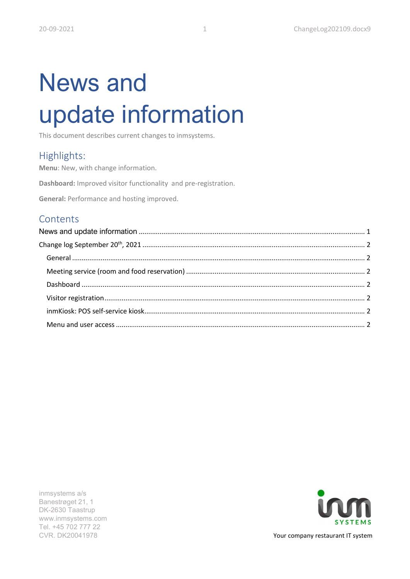# News and update information

This document describes current changes to inmsystems.

## Highlights:

Menu: New, with change information.

Dashboard: Improved visitor functionality and pre-registration.

General: Performance and hosting improved.

## **Contents**

inmsystems a/s Banestrøget 21, 1 DK-2630 Taastrup www.inmsystems.com Tel. +45 702 777 22